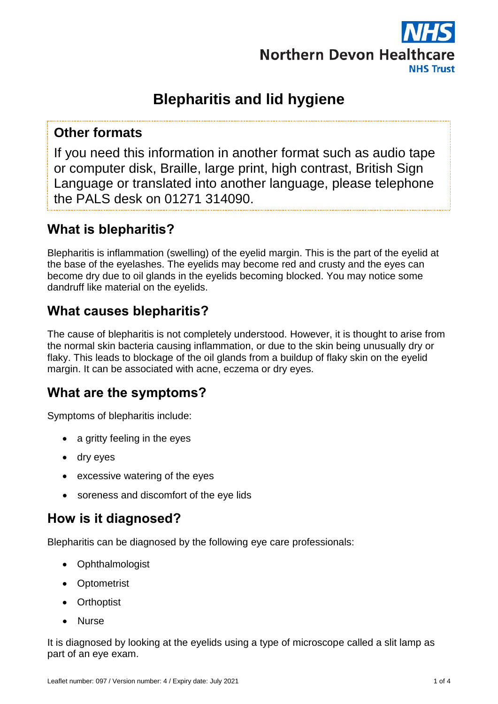

# **Blepharitis and lid hygiene**

#### **Other formats**

If you need this information in another format such as audio tape or computer disk, Braille, large print, high contrast, British Sign Language or translated into another language, please telephone the PALS desk on 01271 314090.

### **What is blepharitis?**

Blepharitis is inflammation (swelling) of the eyelid margin. This is the part of the eyelid at the base of the eyelashes. The eyelids may become red and crusty and the eyes can become dry due to oil glands in the eyelids becoming blocked. You may notice some dandruff like material on the eyelids.

# **What causes blepharitis?**

The cause of blepharitis is not completely understood. However, it is thought to arise from the normal skin bacteria causing inflammation, or due to the skin being unusually dry or flaky. This leads to blockage of the oil glands from a buildup of flaky skin on the eyelid margin. It can be associated with acne, eczema or dry eyes.

# **What are the symptoms?**

Symptoms of blepharitis include:

- a gritty feeling in the eyes
- dry eyes
- excessive watering of the eyes
- soreness and discomfort of the eye lids

#### **How is it diagnosed?**

Blepharitis can be diagnosed by the following eye care professionals:

- Ophthalmologist
- Optometrist
- **Orthoptist**
- Nurse

It is diagnosed by looking at the eyelids using a type of microscope called a slit lamp as part of an eye exam.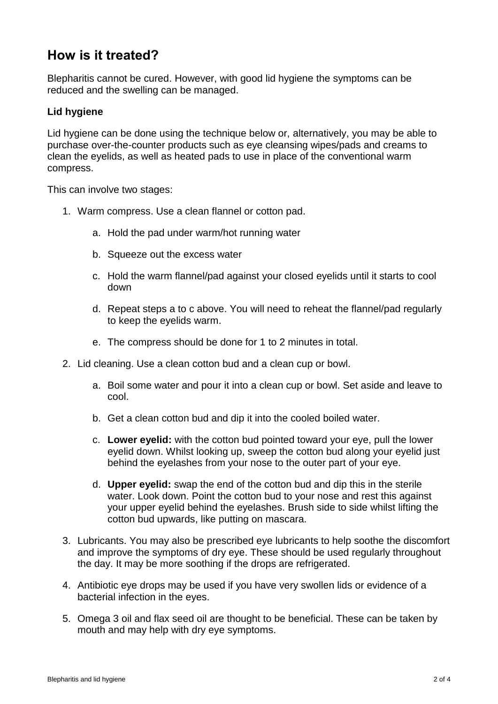#### **How is it treated?**

Blepharitis cannot be cured. However, with good lid hygiene the symptoms can be reduced and the swelling can be managed.

#### **Lid hygiene**

Lid hygiene can be done using the technique below or, alternatively, you may be able to purchase over-the-counter products such as eye cleansing wipes/pads and creams to clean the eyelids, as well as heated pads to use in place of the conventional warm compress.

This can involve two stages:

- 1. Warm compress. Use a clean flannel or cotton pad.
	- a. Hold the pad under warm/hot running water
	- b. Squeeze out the excess water
	- c. Hold the warm flannel/pad against your closed eyelids until it starts to cool down
	- d. Repeat steps a to c above. You will need to reheat the flannel/pad regularly to keep the eyelids warm.
	- e. The compress should be done for 1 to 2 minutes in total.
- 2. Lid cleaning. Use a clean cotton bud and a clean cup or bowl.
	- a. Boil some water and pour it into a clean cup or bowl. Set aside and leave to cool.
	- b. Get a clean cotton bud and dip it into the cooled boiled water.
	- c. **Lower eyelid:** with the cotton bud pointed toward your eye, pull the lower eyelid down. Whilst looking up, sweep the cotton bud along your eyelid just behind the eyelashes from your nose to the outer part of your eye.
	- d. **Upper eyelid:** swap the end of the cotton bud and dip this in the sterile water. Look down. Point the cotton bud to your nose and rest this against your upper eyelid behind the eyelashes. Brush side to side whilst lifting the cotton bud upwards, like putting on mascara.
- 3. Lubricants. You may also be prescribed eye lubricants to help soothe the discomfort and improve the symptoms of dry eye. These should be used regularly throughout the day. It may be more soothing if the drops are refrigerated.
- 4. Antibiotic eye drops may be used if you have very swollen lids or evidence of a bacterial infection in the eyes.
- 5. Omega 3 oil and flax seed oil are thought to be beneficial. These can be taken by mouth and may help with dry eye symptoms.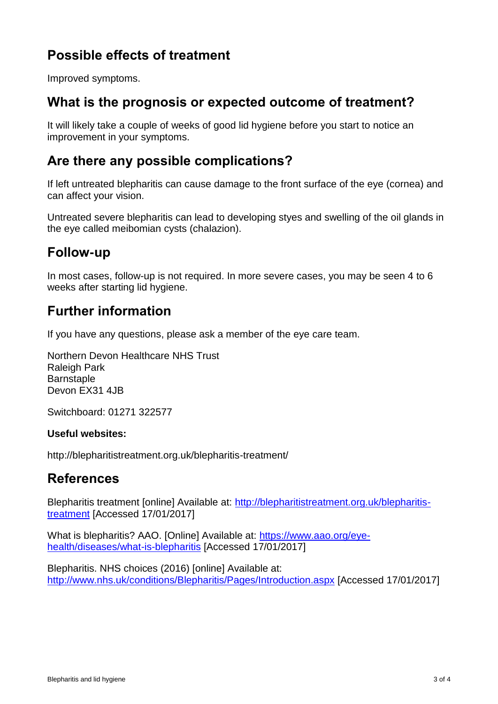# **Possible effects of treatment**

Improved symptoms.

#### **What is the prognosis or expected outcome of treatment?**

It will likely take a couple of weeks of good lid hygiene before you start to notice an improvement in your symptoms.

#### **Are there any possible complications?**

If left untreated blepharitis can cause damage to the front surface of the eye (cornea) and can affect your vision.

Untreated severe blepharitis can lead to developing styes and swelling of the oil glands in the eye called meibomian cysts (chalazion).

### **Follow-up**

In most cases, follow-up is not required. In more severe cases, you may be seen 4 to 6 weeks after starting lid hygiene.

### **Further information**

If you have any questions, please ask a member of the eye care team.

Northern Devon Healthcare NHS Trust Raleigh Park **Barnstaple** Devon FX31 4JB

Switchboard: 01271 322577

#### **Useful websites:**

http://blepharitistreatment.org.uk/blepharitis-treatment/

#### **References**

Blepharitis treatment [online] Available at: [http://blepharitistreatment.org.uk/blepharitis](http://blepharitistreatment.org.uk/blepharitis-treatment)[treatment](http://blepharitistreatment.org.uk/blepharitis-treatment) [Accessed 17/01/2017]

What is blepharitis? AAO. [Online] Available at: [https://www.aao.org/eye](https://www.aao.org/eye-health/diseases/what-is-blepharitis)[health/diseases/what-is-blepharitis](https://www.aao.org/eye-health/diseases/what-is-blepharitis) [Accessed 17/01/2017]

Blepharitis. NHS choices (2016) [online] Available at: <http://www.nhs.uk/conditions/Blepharitis/Pages/Introduction.aspx> [Accessed 17/01/2017]